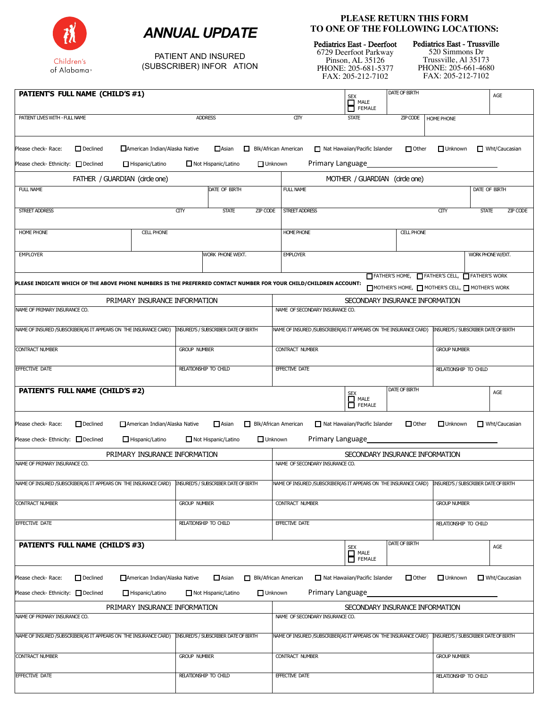



PATIENT AND INSURED (SUBSCRIBER) INFOR ATION

## **PLEASE RETURN THIS FORM TO ONE OF THE FOLLOWING LOCATIONS:**

Pediatrics East - Deerfoot

6729 Deerfoot Parkway Pinson, AL 35126 PHONE: 205-681-5377 FAX: 205-212-7102

Pediatrics East - Trussville 520 Simmons Dr

Trussville, Al 35173 PHONE: 205-661-4680 FAX: 205-212-7102

| PATIENT'S FULL NAME (CHILD'S #1)                                                                                                         |                                      |                                                       |                                                                                                     | SEX<br>SEMALE<br>SEMALE                           | DATE OF BIRTH                                                                                                   |                                      | AGE                                         |
|------------------------------------------------------------------------------------------------------------------------------------------|--------------------------------------|-------------------------------------------------------|-----------------------------------------------------------------------------------------------------|---------------------------------------------------|-----------------------------------------------------------------------------------------------------------------|--------------------------------------|---------------------------------------------|
| <b>ADDRESS</b><br>PATIENT LIVES WITH - FULL NAME                                                                                         |                                      |                                                       | $\overline{a}$                                                                                      | <b>STATE</b>                                      | ZIP CODE                                                                                                        | HOME PHONE                           |                                             |
| Please check- Race:<br>$\Box$ Declined<br>American Indian/Alaska Native<br>Please check- Ethnicity: □ Declined<br>Hispanic/Latino        |                                      | $\Box$ Asian<br>Not Hispanic/Latino                   | $\Box$ Blk/African American<br>$\Box$ Unknown                                                       | Nat Hawaiian/Pacific Islander<br>Primary Language | $\Box$ Other                                                                                                    | $\Box$ Unknown                       | $\Box$ Wht/Caucasian                        |
| FATHER / GUARDIAN (circle one)                                                                                                           |                                      |                                                       |                                                                                                     | MOTHER / GUARDIAN (circle one)                    |                                                                                                                 |                                      |                                             |
| FULL NAME                                                                                                                                |                                      | DATE OF BIRTH                                         | FULL NAME                                                                                           |                                                   |                                                                                                                 |                                      | DATE OF BIRTH                               |
| STREET ADDRESS                                                                                                                           | CITY                                 | <b>STATE</b><br><b>ZIP CODE</b>                       | STREET ADDRESS                                                                                      |                                                   |                                                                                                                 | CITY                                 | <b>STATE</b><br>ZIP CODE                    |
| <b>HOME PHONE</b><br><b>CELL PHONE</b>                                                                                                   |                                      |                                                       | <b>HOME PHONE</b>                                                                                   |                                                   | <b>CELL PHONE</b>                                                                                               |                                      |                                             |
| <b>EMPLOYER</b>                                                                                                                          |                                      | WORK PHONE WEXT.                                      | <b>EMPLOYER</b>                                                                                     |                                                   |                                                                                                                 |                                      | WORK PHONE W/EXT.                           |
| PLEASE INDICATE WHICH OF THE ABOVE PHONE NUMBERS IS THE PREFERRED CONTACT NUMBER FOR YOUR CHILD/CHILDREN ACCOUNT:                        |                                      |                                                       |                                                                                                     |                                                   | FATHER'S HOME, FATHER'S CELL, FATHER'S WORK<br>$\Box$ MOTHER'S HOME, $\Box$ MOTHER'S CELL, $\Box$ MOTHER'S WORK |                                      |                                             |
| PRIMARY INSURANCE INFORMATION                                                                                                            |                                      |                                                       | SECONDARY INSURANCE INFORMATION                                                                     |                                                   |                                                                                                                 |                                      |                                             |
| NAME OF PRIMARY INSURANCE CO.                                                                                                            |                                      |                                                       | NAME OF SECONDARY INSURANCE CO.                                                                     |                                                   |                                                                                                                 |                                      |                                             |
| NAME OF INSURED / SUBSCRIBER(AS IT APPEARS ON THE INSURANCE CARD)                                                                        | INSURED'S / SUBSCRIBER DATE OF BIRTH |                                                       | NAME OF INSURED /SUBSCRIBER(AS IT APPEARS ON THE INSURANCE CARD)                                    |                                                   |                                                                                                                 | INSURED'S / SUBSCRIBER DATE OF BIRTH |                                             |
| <b>CONTRACT NUMBER</b>                                                                                                                   | <b>GROUP NUMBER</b>                  |                                                       | CONTRACT NUMBER                                                                                     |                                                   |                                                                                                                 | <b>GROUP NUMBER</b>                  |                                             |
| EFFECTIVE DATE<br>RELATIONSHIP TO CHILD                                                                                                  |                                      | EFFECTIVE DATE<br>RELATIONSHIP TO CHILD               |                                                                                                     |                                                   |                                                                                                                 |                                      |                                             |
| PATIENT'S FULL NAME (CHILD'S #2)                                                                                                         |                                      |                                                       |                                                                                                     | SEX<br>SE MALE<br>SEMALE                          | DATE OF BIRTH                                                                                                   |                                      | AGE                                         |
| Please check- Race:<br>$\Box$ Declined<br>American Indian/Alaska Native<br>Please check- Ethnicity: □ Declined<br>$\Box$ Hispanic/Latino |                                      | $\Box$ Asian<br>Not Hispanic/Latino<br>$\Box$ Unknown | Blk/African American                                                                                | Nat Hawaiian/Pacific Islander<br>Primary Language | $\Box$ Other                                                                                                    | $\Box$ Unknown                       | $\Box$ Wht/Caucasian                        |
| PRIMARY INSURANCE INFORMATION                                                                                                            |                                      |                                                       | SECONDARY INSURANCE INFORMATION                                                                     |                                                   |                                                                                                                 |                                      |                                             |
| NAME OF PRIMARY INSURANCE CO.<br>NAME OF INSURED / SUBSCRIBER(AS IT APPEARS ON THE INSURANCE CARD)                                       |                                      | <b>INSURED'S / SUBSCRIBER DATE OF BIRTH</b>           | NAME OF SECONDARY INSURANCE CO.<br>NAME OF INSURED /SUBSCRIBER(AS IT APPEARS ON THE INSURANCE CARD) |                                                   |                                                                                                                 |                                      | <b>INSURED'S / SUBSCRIBER DATE OF BIRTH</b> |
|                                                                                                                                          |                                      |                                                       |                                                                                                     |                                                   |                                                                                                                 |                                      |                                             |
| <b>CONTRACT NUMBER</b>                                                                                                                   | <b>GROUP NUMBER</b>                  |                                                       | <b>CONTRACT NUMBER</b>                                                                              |                                                   |                                                                                                                 | <b>GROUP NUMBER</b>                  |                                             |
| EFFECTIVE DATE                                                                                                                           | RELATIONSHIP TO CHILD                |                                                       | EFFECTIVE DATE                                                                                      |                                                   |                                                                                                                 | RELATIONSHIP TO CHILD                |                                             |
| PATIENT'S FULL NAME (CHILD'S #3)                                                                                                         |                                      |                                                       |                                                                                                     | SEX<br><b>THALE</b><br>FEMALE                     | DATE OF BIRTH                                                                                                   |                                      | AGE                                         |
| Please check- Race:<br>$\Box$ Declined<br>American Indian/Alaska Native<br>Hispanic/Latino<br>Please check-Ethnicity: $\Box$ Declined    |                                      | $\Box$ Asian<br>Not Hispanic/Latino<br>$\Box$ Unknown | Blk/African American                                                                                | Nat Hawaiian/Pacific Islander<br>Primary Language | $\Box$ Other                                                                                                    | $\Box$ Unknown                       | $\Box$ Wht/Caucasian                        |
| PRIMARY INSURANCE INFORMATION                                                                                                            |                                      |                                                       |                                                                                                     |                                                   | SECONDARY INSURANCE INFORMATION                                                                                 |                                      |                                             |
| NAME OF PRIMARY INSURANCE CO.                                                                                                            |                                      |                                                       | NAME OF SECONDARY INSURANCE CO.                                                                     |                                                   |                                                                                                                 |                                      |                                             |
| NAME OF INSURED / SUBSCRIBER(AS IT APPEARS ON THE INSURANCE CARD)                                                                        |                                      | INSURED'S / SUBSCRIBER DATE OF BIRTH                  | NAME OF INSURED /SUBSCRIBER(AS IT APPEARS ON THE INSURANCE CARD)                                    |                                                   |                                                                                                                 |                                      | INSURED'S / SUBSCRIBER DATE OF BIRTH        |
| <b>CONTRACT NUMBER</b>                                                                                                                   | <b>GROUP NUMBER</b>                  |                                                       | CONTRACT NUMBER                                                                                     |                                                   |                                                                                                                 | <b>GROUP NUMBER</b>                  |                                             |
| EFFECTIVE DATE                                                                                                                           | RELATIONSHIP TO CHILD                |                                                       | EFFECTIVE DATE                                                                                      |                                                   |                                                                                                                 | RELATIONSHIP TO CHILD                |                                             |